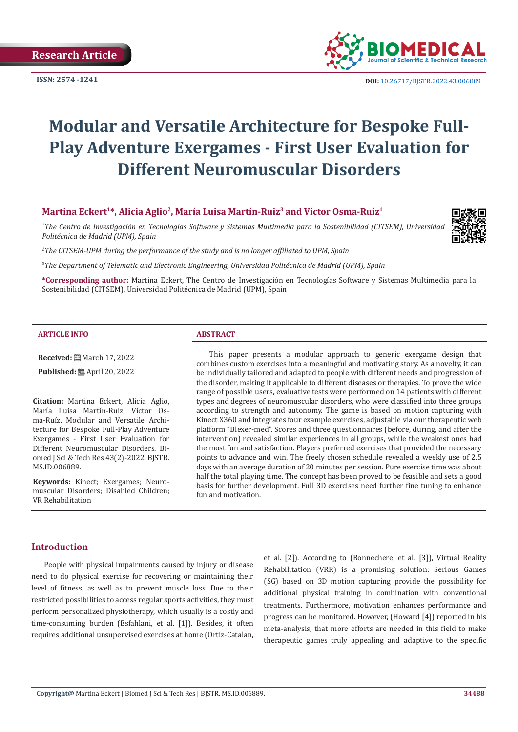

**ISSN:** 2574 -1241 **DOI:** [10.26717/BJSTR.2022.43.006889](https://dx.doi.org/10.26717/BJSTR.2022.43.006889)

# **Modular and Versatile Architecture for Bespoke Full-Play Adventure Exergames - First User Evaluation for Different Neuromuscular Disorders**

# **Martina Eckert1\*, Alicia Aglio2, María Luisa Martín-Ruiz3 and Víctor Osma-Ruíz1**

*1 The Centro de Investigación en Tecnologías Software y Sistemas Multimedia para la Sostenibilidad (CITSEM), Universidad Politécnica de Madrid (UPM), Spain* 



*2 The CITSEM-UPM during the performance of the study and is no longer affiliated to UPM, Spain*

*3 The Department of Telematic and Electronic Engineering, Universidad Politécnica de Madrid (UPM), Spain* 

**\*Corresponding author:** Martina Eckert, The Centro de Investigación en Tecnologías Software y Sistemas Multimedia para la Sostenibilidad (CITSEM), Universidad Politécnica de Madrid (UPM), Spain

#### **ARTICLE INFO ABSTRACT**

**Received:** March 17, 2022

**Published:** ■ April 20, 2022

**Citation:** Martina Eckert, Alicia Aglio, María Luisa Martín-Ruiz, Víctor Osma-Ruíz. Modular and Versatile Architecture for Bespoke Full-Play Adventure Exergames - First User Evaluation for Different Neuromuscular Disorders. Biomed J Sci & Tech Res 43(2)-2022. BJSTR. MS.ID.006889.

**Keywords:** Kinect; Exergames; Neuromuscular Disorders; Disabled Children; VR Rehabilitation

This paper presents a modular approach to generic exergame design that combines custom exercises into a meaningful and motivating story. As a novelty, it can be individually tailored and adapted to people with different needs and progression of the disorder, making it applicable to different diseases or therapies. To prove the wide range of possible users, evaluative tests were performed on 14 patients with different types and degrees of neuromuscular disorders, who were classified into three groups according to strength and autonomy. The game is based on motion capturing with Kinect X360 and integrates four example exercises, adjustable via our therapeutic web platform "Blexer-med". Scores and three questionnaires (before, during, and after the intervention) revealed similar experiences in all groups, while the weakest ones had the most fun and satisfaction. Players preferred exercises that provided the necessary points to advance and win. The freely chosen schedule revealed a weekly use of 2.5 days with an average duration of 20 minutes per session. Pure exercise time was about half the total playing time. The concept has been proved to be feasible and sets a good basis for further development. Full 3D exercises need further fine tuning to enhance fun and motivation.

### **Introduction**

People with physical impairments caused by injury or disease need to do physical exercise for recovering or maintaining their level of fitness, as well as to prevent muscle loss. Due to their restricted possibilities to access regular sports activities, they must perform personalized physiotherapy, which usually is a costly and time-consuming burden (Esfahlani, et al. [1]). Besides, it often requires additional unsupervised exercises at home (Ortiz-Catalan, et al. [2]). According to (Bonnechere, et al. [3]), Virtual Reality Rehabilitation (VRR) is a promising solution: Serious Games (SG) based on 3D motion capturing provide the possibility for additional physical training in combination with conventional treatments. Furthermore, motivation enhances performance and progress can be monitored. However, (Howard [4]) reported in his meta-analysis, that more efforts are needed in this field to make therapeutic games truly appealing and adaptive to the specific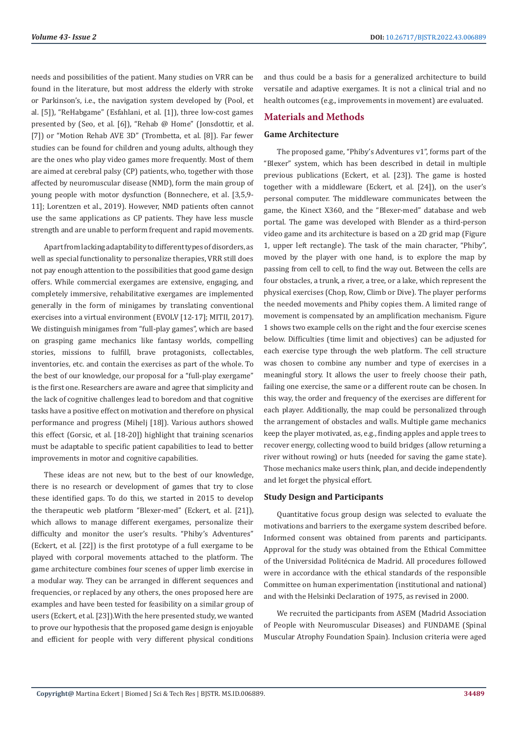needs and possibilities of the patient. Many studies on VRR can be found in the literature, but most address the elderly with stroke or Parkinson's, i.e., the navigation system developed by (Pool, et al. [5]), "ReHabgame" (Esfahlani, et al. [1]), three low-cost games presented by (Seo, et al. [6]), "Rehab @ Home" (Jonsdottir, et al. [7]) or "Motion Rehab AVE 3D" (Trombetta, et al. [8]). Far fewer studies can be found for children and young adults, although they are the ones who play video games more frequently. Most of them are aimed at cerebral palsy (CP) patients, who, together with those affected by neuromuscular disease (NMD), form the main group of young people with motor dysfunction (Bonnechere, et al. [3,5,9- 11]; Lorentzen et al., 2019). However, NMD patients often cannot use the same applications as CP patients. They have less muscle strength and are unable to perform frequent and rapid movements.

Apart from lacking adaptability to different types of disorders, as well as special functionality to personalize therapies, VRR still does not pay enough attention to the possibilities that good game design offers. While commercial exergames are extensive, engaging, and completely immersive, rehabilitative exergames are implemented generally in the form of minigames by translating conventional exercises into a virtual environment (EVOLV [12-17]; MITII, 2017). We distinguish minigames from "full-play games", which are based on grasping game mechanics like fantasy worlds, compelling stories, missions to fulfill, brave protagonists, collectables, inventories, etc. and contain the exercises as part of the whole. To the best of our knowledge, our proposal for a "full-play exergame" is the first one. Researchers are aware and agree that simplicity and the lack of cognitive challenges lead to boredom and that cognitive tasks have a positive effect on motivation and therefore on physical performance and progress (Mihelj [18]). Various authors showed this effect (Gorsic, et al. [18-20]) highlight that training scenarios must be adaptable to specific patient capabilities to lead to better improvements in motor and cognitive capabilities.

These ideas are not new, but to the best of our knowledge, there is no research or development of games that try to close these identified gaps. To do this, we started in 2015 to develop the therapeutic web platform "Blexer-med" (Eckert, et al. [21]), which allows to manage different exergames, personalize their difficulty and monitor the user's results. "Phiby's Adventures" (Eckert, et al. [22]) is the first prototype of a full exergame to be played with corporal movements attached to the platform. The game architecture combines four scenes of upper limb exercise in a modular way. They can be arranged in different sequences and frequencies, or replaced by any others, the ones proposed here are examples and have been tested for feasibility on a similar group of users (Eckert, et al. [23]).With the here presented study, we wanted to prove our hypothesis that the proposed game design is enjoyable and efficient for people with very different physical conditions

and thus could be a basis for a generalized architecture to build versatile and adaptive exergames. It is not a clinical trial and no health outcomes (e.g., improvements in movement) are evaluated.

# **Materials and Methods**

# **Game Architecture**

The proposed game, "Phiby's Adventures v1", forms part of the "Blexer" system, which has been described in detail in multiple previous publications (Eckert, et al. [23]). The game is hosted together with a middleware (Eckert, et al. [24]), on the user's personal computer. The middleware communicates between the game, the Kinect X360, and the "Blexer-med" database and web portal. The game was developed with Blender as a third-person video game and its architecture is based on a 2D grid map (Figure 1, upper left rectangle). The task of the main character, "Phiby", moved by the player with one hand, is to explore the map by passing from cell to cell, to find the way out. Between the cells are four obstacles, a trunk, a river, a tree, or a lake, which represent the physical exercises (Chop, Row, Climb or Dive). The player performs the needed movements and Phiby copies them. A limited range of movement is compensated by an amplification mechanism. Figure 1 shows two example cells on the right and the four exercise scenes below. Difficulties (time limit and objectives) can be adjusted for each exercise type through the web platform. The cell structure was chosen to combine any number and type of exercises in a meaningful story. It allows the user to freely choose their path, failing one exercise, the same or a different route can be chosen. In this way, the order and frequency of the exercises are different for each player. Additionally, the map could be personalized through the arrangement of obstacles and walls. Multiple game mechanics keep the player motivated, as, e.g., finding apples and apple trees to recover energy, collecting wood to build bridges (allow returning a river without rowing) or huts (needed for saving the game state). Those mechanics make users think, plan, and decide independently and let forget the physical effort.

#### **Study Design and Participants**

Quantitative focus group design was selected to evaluate the motivations and barriers to the exergame system described before. Informed consent was obtained from parents and participants. Approval for the study was obtained from the Ethical Committee of the Universidad Politécnica de Madrid. All procedures followed were in accordance with the ethical standards of the responsible Committee on human experimentation (institutional and national) and with the Helsinki Declaration of 1975, as revised in 2000.

We recruited the participants from ASEM (Madrid Association of People with Neuromuscular Diseases) and FUNDAME (Spinal Muscular Atrophy Foundation Spain). Inclusion criteria were aged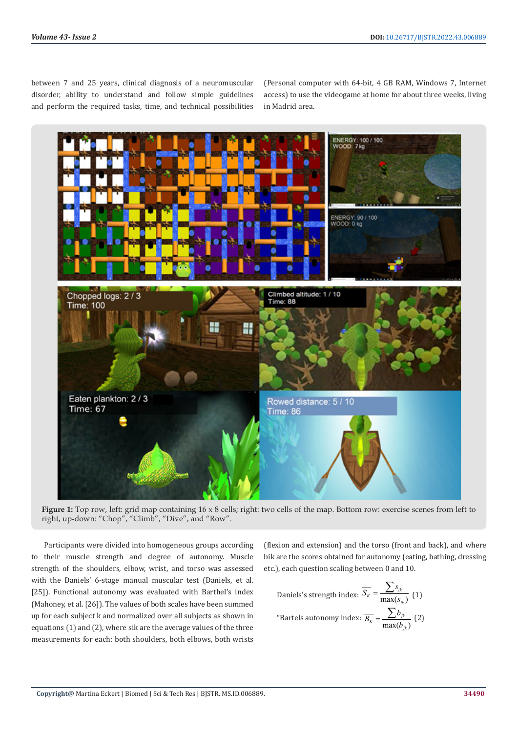between 7 and 25 years, clinical diagnosis of a neuromuscular disorder, ability to understand and follow simple guidelines and perform the required tasks, time, and technical possibilities

(Personal computer with 64-bit, 4 GB RAM, Windows 7, Internet access) to use the videogame at home for about three weeks, living in Madrid area.



**Figure 1:** Top row, left: grid map containing 16 x 8 cells; right: two cells of the map. Bottom row: exercise scenes from left to right, up-down: "Chop", "Climb", "Dive", and "Row".

Participants were divided into homogeneous groups according to their muscle strength and degree of autonomy. Muscle strength of the shoulders, elbow, wrist, and torso was assessed with the Daniels' 6-stage manual muscular test (Daniels, et al. [25]). Functional autonomy was evaluated with Barthel's index (Mahoney, et al. [26]). The values of both scales have been summed up for each subject k and normalized over all subjects as shown in equations (1) and (2), where sik are the average values of the three measurements for each: both shoulders, both elbows, both wrists

(flexion and extension) and the torso (front and back), and where bik are the scores obtained for autonomy (eating, bathing, dressing etc.), each question scaling between 0 and 10.

Daniels's strength index: 
$$
\overline{S_K} = \frac{\sum s_{ik}}{\max(s_{ik})}
$$
 (1)

\n"Bartels automomy index: 
$$
\overline{B_K} = \frac{\sum b_{jk}}{\max(b_{jk})}
$$
 (2)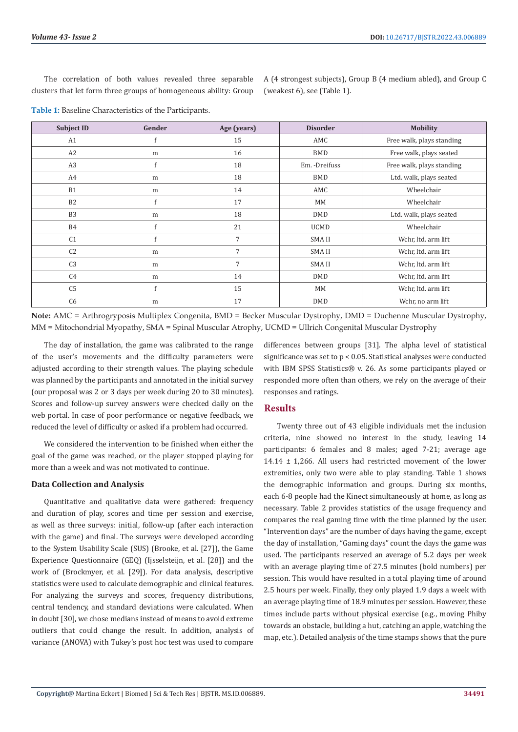The correlation of both values revealed three separable clusters that let form three groups of homogeneous ability: Group

A (4 strongest subjects), Group B (4 medium abled), and Group C (weakest 6), see (Table 1).

**Table 1:** Baseline Characteristics of the Participants.

| <b>Subject ID</b> | Gender    | Age (years)    | <b>Disorder</b> | <b>Mobility</b>           |  |
|-------------------|-----------|----------------|-----------------|---------------------------|--|
| A1                | f         | 15             | AMC             | Free walk, plays standing |  |
| A2                | m         | 16             | <b>BMD</b>      | Free walk, plays seated   |  |
| A3                | f         | 18             | Em. - Dreifuss  | Free walk, plays standing |  |
| A4                | m         | 18             | <b>BMD</b>      | Ltd. walk, plays seated   |  |
| B1                | m         | 14             | AMC             | Wheelchair                |  |
| <b>B2</b>         | f         | 17             | MM              | Wheelchair                |  |
| B <sub>3</sub>    | m         | 18             | <b>DMD</b>      | Ltd. walk, plays seated   |  |
| <b>B4</b>         | f         | 21             | <b>UCMD</b>     | Wheelchair                |  |
| C <sub>1</sub>    | f         | 7              | <b>SMAII</b>    | Wchr, ltd. arm lift       |  |
| C <sub>2</sub>    | ${\rm m}$ | $\overline{7}$ | SMA II          | Wchr, ltd. arm lift       |  |
| C <sub>3</sub>    | m         | 7              | <b>SMAII</b>    | Wchr, ltd. arm lift       |  |
| C4                | m         | 14             | <b>DMD</b>      | Wchr, ltd. arm lift       |  |
| C <sub>5</sub>    | f         | 15             | MM              | Wchr, ltd. arm lift       |  |
| C <sub>6</sub>    | m         | 17             | <b>DMD</b>      | Wchr, no arm lift         |  |

**Note:** AMC = Arthrogryposis Multiplex Congenita, BMD = Becker Muscular Dystrophy, DMD = Duchenne Muscular Dystrophy, MM = Mitochondrial Myopathy, SMA = Spinal Muscular Atrophy, UCMD = Ullrich Congenital Muscular Dystrophy

The day of installation, the game was calibrated to the range of the user's movements and the difficulty parameters were adjusted according to their strength values. The playing schedule was planned by the participants and annotated in the initial survey (our proposal was 2 or 3 days per week during 20 to 30 minutes). Scores and follow-up survey answers were checked daily on the web portal. In case of poor performance or negative feedback, we reduced the level of difficulty or asked if a problem had occurred.

We considered the intervention to be finished when either the goal of the game was reached, or the player stopped playing for more than a week and was not motivated to continue.

#### **Data Collection and Analysis**

Quantitative and qualitative data were gathered: frequency and duration of play, scores and time per session and exercise, as well as three surveys: initial, follow-up (after each interaction with the game) and final. The surveys were developed according to the System Usability Scale (SUS) (Brooke, et al. [27]), the Game Experience Questionnaire (GEQ) (Ijsselsteijn, et al. [28]) and the work of (Brockmyer, et al. [29]). For data analysis, descriptive statistics were used to calculate demographic and clinical features. For analyzing the surveys and scores, frequency distributions, central tendency, and standard deviations were calculated. When in doubt [30], we chose medians instead of means to avoid extreme outliers that could change the result. In addition, analysis of variance (ANOVA) with Tukey's post hoc test was used to compare

differences between groups [31]. The alpha level of statistical significance was set to p < 0.05. Statistical analyses were conducted with IBM SPSS Statistics® v. 26. As some participants played or responded more often than others, we rely on the average of their responses and ratings.

#### **Results**

Twenty three out of 43 eligible individuals met the inclusion criteria, nine showed no interest in the study, leaving 14 participants: 6 females and 8 males; aged 7-21; average age 14.14 ± 1,266. All users had restricted movement of the lower extremities, only two were able to play standing. Table 1 shows the demographic information and groups. During six months, each 6-8 people had the Kinect simultaneously at home, as long as necessary. Table 2 provides statistics of the usage frequency and compares the real gaming time with the time planned by the user. "Intervention days" are the number of days having the game, except the day of installation, "Gaming days" count the days the game was used. The participants reserved an average of 5.2 days per week with an average playing time of 27.5 minutes (bold numbers) per session. This would have resulted in a total playing time of around 2.5 hours per week. Finally, they only played 1.9 days a week with an average playing time of 18.9 minutes per session. However, these times include parts without physical exercise (e.g., moving Phiby towards an obstacle, building a hut, catching an apple, watching the map, etc.). Detailed analysis of the time stamps shows that the pure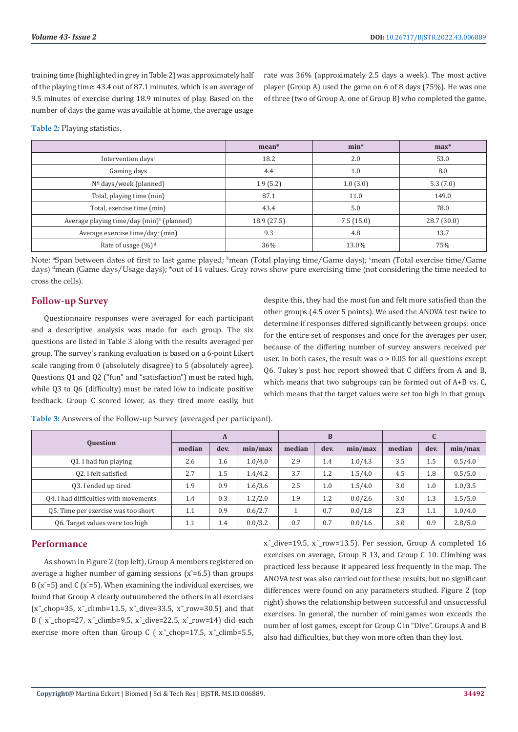training time (highlighted in grey in Table 2) was approximately half of the playing time: 43.4 out of 87.1 minutes, which is an average of 9.5 minutes of exercise during 18.9 minutes of play. Based on the number of days the game was available at home, the average usage

rate was 36% (approximately 2.5 days a week). The most active player (Group A) used the game on 6 of 8 days (75%). He was one of three (two of Group A, one of Group B) who completed the game.

**Table 2:** Playing statistics.

|                                                       | $mean*$     | $min*$    | $max*$     |  |
|-------------------------------------------------------|-------------|-----------|------------|--|
| Intervention days <sup>a</sup>                        | 18.2        | 2.0       | 53.0       |  |
| Gaming days                                           | 4.4         | 1.0       | 8.0        |  |
| $No$ days/week (planned)                              | 1.9(5.2)    | 1.0(3.0)  | 5.3(7.0)   |  |
| Total, playing time (min)                             | 87.1        | 11.0      | 149.0      |  |
| Total, exercise time (min)                            | 43.4        | 5.0       | 78.0       |  |
| Average playing time/day (min) <sup>b</sup> (planned) | 18.9 (27.5) | 7.5(15.0) | 28.7(30.0) |  |
| Average exercise time/day <sup>c</sup> (min)          | 9.3         | 4.8       | 13.7       |  |
| Rate of usage $(\%)^d$                                | 36%         | 13.0%     | 75%        |  |

Note: <sup>a</sup>Span between dates of first to last game played; <sup>b</sup>mean (Total playing time/Game days); <sup>c</sup>mean (Total exercise time/Game days) <sup>d</sup>mean (Game days/Usage days); \*out of 14 values. Gray rows show pure exercising time (not considering the time needed to cross the cells).

# **Follow-up Survey**

Questionnaire responses were averaged for each participant and a descriptive analysis was made for each group. The six questions are listed in Table 3 along with the results averaged per group. The survey's ranking evaluation is based on a 6-point Likert scale ranging from 0 (absolutely disagree) to 5 (absolutely agree). Questions Q1 and Q2 ("fun" and "satisfaction") must be rated high, while Q3 to Q6 (difficulty) must be rated low to indicate positive feedback. Group C scored lower, as they tired more easily, but despite this, they had the most fun and felt more satisfied than the other groups (4.5 over 5 points). We used the ANOVA test twice to determine if responses differed significantly between groups: once for the entire set of responses and once for the averages per user, because of the differing number of survey answers received per user. In both cases, the result was  $\sigma$  > 0.05 for all questions except Q6. Tukey's post hoc report showed that C differs from A and B, which means that two subgroups can be formed out of A+B vs. C, which means that the target values were set too high in that group.

|                                       | A      |      | B       |        | u    |         |        |      |         |
|---------------------------------------|--------|------|---------|--------|------|---------|--------|------|---------|
| <b>Question</b>                       | median | dev. | min/max | median | dev. | min/max | median | dev. | min/max |
| Q1. I had fun playing                 | 2.6    | 1.6  | 1.0/4.0 | 2.9    | 1.4  | 1.0/4.3 | 3.5    | 1.5  | 0.5/4.0 |
| 02. I felt satisfied                  | 2.7    | 1.5  | 1.4/4.2 | 3.7    | 1.2  | 1.5/4.0 | 4.5    | 1.8  | 0.5/5.0 |
| 03. I ended up tired                  | 1.9    | 0.9  | 1.6/3.6 | 2.5    | 1.0  | 1.5/4.0 | 3.0    | 1.0  | 1.0/3.5 |
| 04. I had difficulties with movements | 1.4    | 0.3  | 1.2/2.0 | 1.9    | 1.2  | 0.0/2.6 | 3.0    | 1.3  | 1.5/5.0 |
| 05. Time per exercise was too short   | 1.1    | 0.9  | 0.6/2.7 |        | 0.7  | 0.0/1.8 | 2.3    | 1.1  | 1.0/4.0 |
| 06. Target values were too high       | 1.1    | 1.4  | 0.0/3.2 | 0.7    | 0.7  | 0.0/1.6 | 3.0    | 0.9  | 2.8/5.0 |

**Table 3:** Answers of the Follow-up Survey (averaged per participant).

# **Performance**

As shown in Figure 2 (top left), Group A members registered on average a higher number of gaming sessions  $(x = 6.5)$  than groups B ( $\tilde{x}$ =5) and C ( $\tilde{x}$ =5). When examining the individual exercises, we found that Group A clearly outnumbered the others in all exercises  $(x^{\text{-}}chop=35, x^{\text{-}}climb=11.5, x^{\text{-}}dive=33.5, x^{\text{-}}row=30.5)$  and that B ( $x^{\text{-}}$ chop=27,  $x^{\text{-}}$ climb=9.5,  $x^{\text{-}}$ dive=22.5,  $x^{\text{-}}$ row=14) did each exercise more often than Group C ( $x^{\text{-}}$ chop=17.5,  $x^{\text{-}}$ climb=5.5,

x ̃\_dive=19.5, x ̃\_row=13.5). Per session, Group A completed 16 exercises on average, Group B 13, and Group C 10. Climbing was practiced less because it appeared less frequently in the map. The ANOVA test was also carried out for these results, but no significant differences were found on any parameters studied. Figure 2 (top right) shows the relationship between successful and unsuccessful exercises. In general, the number of minigames won exceeds the number of lost games, except for Group C in "Dive". Groups A and B also had difficulties, but they won more often than they lost.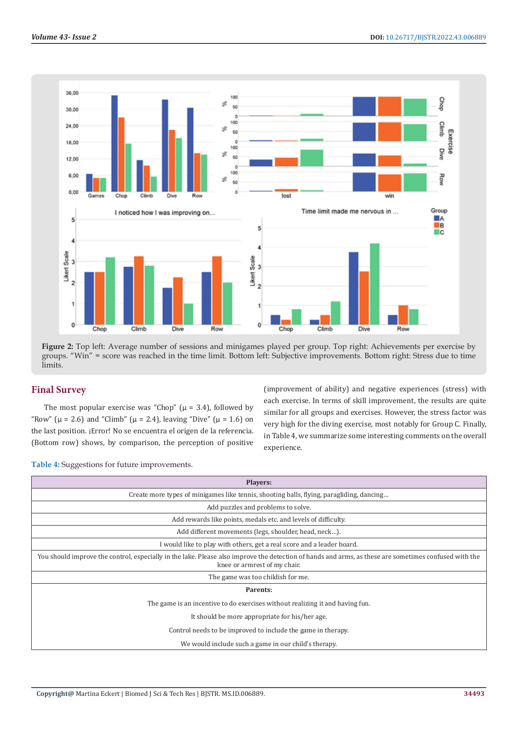

**Figure 2:** Top left: Average number of sessions and minigames played per group. Top right: Achievements per exercise by groups. "Win" = score was reached in the time limit. Bottom left: Subjective improvements. Bottom right: Stress due to time limits.

# **Final Survey**

The most popular exercise was "Chop" ( $\mu$  = 3.4), followed by "Row" ( $\mu$  = 2.6) and "Climb" ( $\mu$  = 2.4), leaving "Dive" ( $\mu$  = 1.6) on the last position. ¡Error! No se encuentra el origen de la referencia. (Bottom row) shows, by comparison, the perception of positive

(improvement of ability) and negative experiences (stress) with each exercise. In terms of skill improvement, the results are quite similar for all groups and exercises. However, the stress factor was very high for the diving exercise, most notably for Group C. Finally, in Table 4, we summarize some interesting comments on the overall experience.

**Table 4:** Suggestions for future improvements.

| <b>Players:</b>                                                                                                                                                                       |
|---------------------------------------------------------------------------------------------------------------------------------------------------------------------------------------|
| Create more types of minigames like tennis, shooting balls, flying, paragliding, dancing                                                                                              |
| Add puzzles and problems to solve.                                                                                                                                                    |
| Add rewards like points, medals etc. and levels of difficulty.                                                                                                                        |
| Add different movements (legs, shoulder, head, neck).                                                                                                                                 |
| I would like to play with others, get a real score and a leader board.                                                                                                                |
| You should improve the control, especially in the lake. Please also improve the detection of hands and arms, as these are sometimes confused with the<br>knee or armrest of my chair. |
| The game was too childish for me.                                                                                                                                                     |
| Parents:                                                                                                                                                                              |
| The game is an incentive to do exercises without realizing it and having fun.                                                                                                         |
| It should be more appropriate for his/her age.                                                                                                                                        |
| Control needs to be improved to include the game in therapy.                                                                                                                          |
| We would include such a game in our child's therapy.                                                                                                                                  |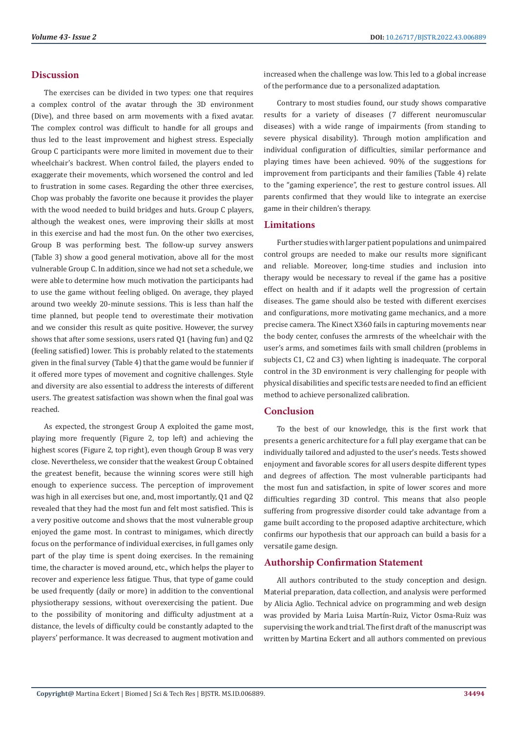#### **Discussion**

The exercises can be divided in two types: one that requires a complex control of the avatar through the 3D environment (Dive), and three based on arm movements with a fixed avatar. The complex control was difficult to handle for all groups and thus led to the least improvement and highest stress. Especially Group C participants were more limited in movement due to their wheelchair's backrest. When control failed, the players ended to exaggerate their movements, which worsened the control and led to frustration in some cases. Regarding the other three exercises, Chop was probably the favorite one because it provides the player with the wood needed to build bridges and huts. Group C players, although the weakest ones, were improving their skills at most in this exercise and had the most fun. On the other two exercises, Group B was performing best. The follow-up survey answers (Table 3) show a good general motivation, above all for the most vulnerable Group C. In addition, since we had not set a schedule, we were able to determine how much motivation the participants had to use the game without feeling obliged. On average, they played around two weekly 20-minute sessions. This is less than half the time planned, but people tend to overestimate their motivation and we consider this result as quite positive. However, the survey shows that after some sessions, users rated Q1 (having fun) and Q2 (feeling satisfied) lower. This is probably related to the statements given in the final survey (Table 4) that the game would be funnier if it offered more types of movement and cognitive challenges. Style and diversity are also essential to address the interests of different users. The greatest satisfaction was shown when the final goal was reached.

As expected, the strongest Group A exploited the game most, playing more frequently (Figure 2, top left) and achieving the highest scores (Figure 2, top right), even though Group B was very close. Nevertheless, we consider that the weakest Group C obtained the greatest benefit, because the winning scores were still high enough to experience success. The perception of improvement was high in all exercises but one, and, most importantly, Q1 and Q2 revealed that they had the most fun and felt most satisfied. This is a very positive outcome and shows that the most vulnerable group enjoyed the game most. In contrast to minigames, which directly focus on the performance of individual exercises, in full games only part of the play time is spent doing exercises. In the remaining time, the character is moved around, etc., which helps the player to recover and experience less fatigue. Thus, that type of game could be used frequently (daily or more) in addition to the conventional physiotherapy sessions, without overexercising the patient. Due to the possibility of monitoring and difficulty adjustment at a distance, the levels of difficulty could be constantly adapted to the players' performance. It was decreased to augment motivation and increased when the challenge was low. This led to a global increase of the performance due to a personalized adaptation.

Contrary to most studies found, our study shows comparative results for a variety of diseases (7 different neuromuscular diseases) with a wide range of impairments (from standing to severe physical disability). Through motion amplification and individual configuration of difficulties, similar performance and playing times have been achieved. 90% of the suggestions for improvement from participants and their families (Table 4) relate to the "gaming experience", the rest to gesture control issues. All parents confirmed that they would like to integrate an exercise game in their children's therapy.

# **Limitations**

Further studies with larger patient populations and unimpaired control groups are needed to make our results more significant and reliable. Moreover, long-time studies and inclusion into therapy would be necessary to reveal if the game has a positive effect on health and if it adapts well the progression of certain diseases. The game should also be tested with different exercises and configurations, more motivating game mechanics, and a more precise camera. The Kinect X360 fails in capturing movements near the body center, confuses the armrests of the wheelchair with the user's arms, and sometimes fails with small children (problems in subjects C1, C2 and C3) when lighting is inadequate. The corporal control in the 3D environment is very challenging for people with physical disabilities and specific tests are needed to find an efficient method to achieve personalized calibration.

#### **Conclusion**

To the best of our knowledge, this is the first work that presents a generic architecture for a full play exergame that can be individually tailored and adjusted to the user's needs. Tests showed enjoyment and favorable scores for all users despite different types and degrees of affection. The most vulnerable participants had the most fun and satisfaction, in spite of lower scores and more difficulties regarding 3D control. This means that also people suffering from progressive disorder could take advantage from a game built according to the proposed adaptive architecture, which confirms our hypothesis that our approach can build a basis for a versatile game design.

#### **Authorship Confirmation Statement**

All authors contributed to the study conception and design. Material preparation, data collection, and analysis were performed by Alicia Aglio. Technical advice on programming and web design was provided by Maria Luisa Martín-Ruiz, Victor Osma-Ruiz was supervising the work and trial. The first draft of the manuscript was written by Martina Eckert and all authors commented on previous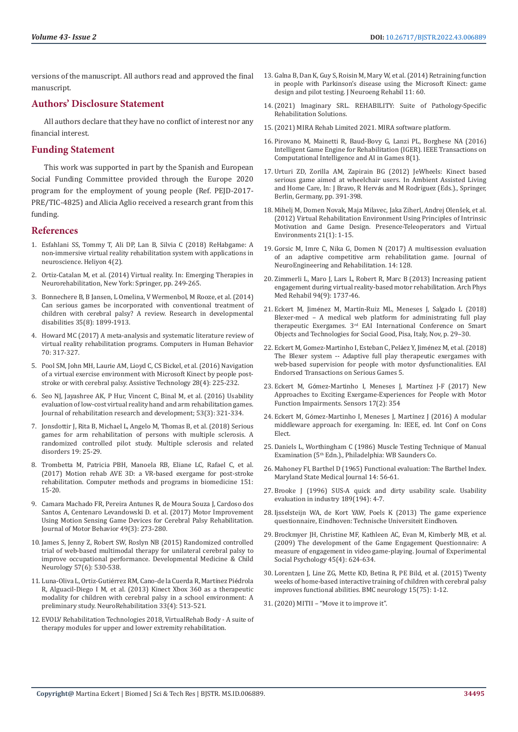versions of the manuscript. All authors read and approved the final manuscript.

# **Authors' Disclosure Statement**

All authors declare that they have no conflict of interest nor any financial interest.

# **Funding Statement**

This work was supported in part by the Spanish and European Social Funding Committee provided through the Europe 2020 program for the employment of young people (Ref. PEJD-2017- PRE/TIC-4825) and Alicia Aglio received a research grant from this funding.

#### **References**

- 1. [Esfahlani SS, Tommy T, Ali DP, Lan B, Silvia C \(2018\) ReHabgame: A](https://www.sciencedirect.com/science/article/pii/S240584401731407X)  [non-immersive virtual reality rehabilitation system with applications in](https://www.sciencedirect.com/science/article/pii/S240584401731407X)  [neuroscience. Heliyon 4\(2\).](https://www.sciencedirect.com/science/article/pii/S240584401731407X)
- 2. Ortiz-Catalan M, et al. (2014) Virtual reality. In: Emerging Therapies in Neurorehabilitation, New York: Springer, pp. 249-265.
- 3. [Bonnechere B, B Jansen, L Omelina, V Wermenbol, M Rooze, et al. \(2014\)](https://pubmed.ncbi.nlm.nih.gov/24794289/)  [Can serious games be incorporated with conventional treatment of](https://pubmed.ncbi.nlm.nih.gov/24794289/)  [children with cerebral palsy? A review. Research in developmental](https://pubmed.ncbi.nlm.nih.gov/24794289/)  [disabilities 35\(8\): 1899-1913.](https://pubmed.ncbi.nlm.nih.gov/24794289/)
- 4. [Howard MC \(2017\) A meta-analysis and systematic literature review of](https://www.sciencedirect.com/science/article/abs/pii/S0747563217300134)  [virtual reality rehabilitation programs. Computers in Human Behavior](https://www.sciencedirect.com/science/article/abs/pii/S0747563217300134)  [70: 317-327.](https://www.sciencedirect.com/science/article/abs/pii/S0747563217300134)
- 5. [Pool SM, John MH, Laurie AM, Lioyd C, CS Bickel, et al. \(2016\) Navigation](https://pubmed.ncbi.nlm.nih.gov/27057790/)  [of a virtual exercise environment with Microsoft Kinect by people post](https://pubmed.ncbi.nlm.nih.gov/27057790/)[stroke or with cerebral palsy. Assistive Technology 28\(4\): 225-232.](https://pubmed.ncbi.nlm.nih.gov/27057790/)
- 6. [Seo NJ, Jayashree AK, P Hur, Vincent C, Binal M, et al. \(2016\) Usability](https://pubmed.ncbi.nlm.nih.gov/27271199/)  [evaluation of low-cost virtual reality hand and arm rehabilitation games.](https://pubmed.ncbi.nlm.nih.gov/27271199/)  [Journal of rehabilitation research and development; 53\(3\): 321-334.](https://pubmed.ncbi.nlm.nih.gov/27271199/)
- 7. [Jonsdottir J, Rita B, Michael L, Angelo M, Thomas B, et al. \(2018\) Serious](https://www.sciencedirect.com/science/article/abs/pii/S2211034817302675)  [games for arm rehabilitation of persons with multiple sclerosis. A](https://www.sciencedirect.com/science/article/abs/pii/S2211034817302675)  [randomized controlled pilot study. Multiple sclerosis and related](https://www.sciencedirect.com/science/article/abs/pii/S2211034817302675)  [disorders 19: 25-29.](https://www.sciencedirect.com/science/article/abs/pii/S2211034817302675)
- 8. [Trombetta M, Patricia PBH, Manoela RB, Eliane LC, Rafael C, et al.](https://pubmed.ncbi.nlm.nih.gov/28946996/)  [\(2017\) Motion rehab AVE 3D: a VR-based exergame for post-stroke](https://pubmed.ncbi.nlm.nih.gov/28946996/)  [rehabilitation. Computer methods and programs in biomedicine 151:](https://pubmed.ncbi.nlm.nih.gov/28946996/)  [15-20.](https://pubmed.ncbi.nlm.nih.gov/28946996/)
- 9. [Camara Machado FR, Pereira Antunes R, de Moura Souza J, Cardoso dos](https://pubmed.ncbi.nlm.nih.gov/27593342/)  [Santos A, Centenaro Levandowski D. et al. \(2017\) Motor Improvement](https://pubmed.ncbi.nlm.nih.gov/27593342/)  [Using Motion Sensing Game Devices for Cerebral Palsy Rehabilitation.](https://pubmed.ncbi.nlm.nih.gov/27593342/)  [Journal of Motor Behavior 49\(3\): 273-280.](https://pubmed.ncbi.nlm.nih.gov/27593342/)
- 10. [James S, Jenny Z, Robert SW, Roslyn NB \(2015\) Randomized controlled](https://pubmed.ncbi.nlm.nih.gov/25955443/)  [trial of web-based multimodal therapy for unilateral cerebral palsy to](https://pubmed.ncbi.nlm.nih.gov/25955443/)  [improve occupational performance. Developmental Medicine & Child](https://pubmed.ncbi.nlm.nih.gov/25955443/)  [Neurology 57\(6\): 530-538.](https://pubmed.ncbi.nlm.nih.gov/25955443/)
- 11. Luna-Oliva L, Ortiz-Gutié[rrez RM, Cano-de la Cuerda R, Mart](https://pubmed.ncbi.nlm.nih.gov/24018364/)ínez Piédrola [R, Alguacil-Diego I M, et al. \(2013\) Kinect Xbox 360 as a therapeutic](https://pubmed.ncbi.nlm.nih.gov/24018364/)  [modality for children with cerebral palsy in a school environment: A](https://pubmed.ncbi.nlm.nih.gov/24018364/)  [preliminary study. NeuroRehabilitation 33\(4\): 513-521.](https://pubmed.ncbi.nlm.nih.gov/24018364/)
- 12. EVOLV Rehabilitation Technologies 2018, VirtualRehab Body A suite of therapy modules for upper and lower extremity rehabilitation.
- 13. [Galna B, Dan K, Guy S, Roisin M, Mary W, et al. \(2014\) Retraining function](https://pubmed.ncbi.nlm.nih.gov/24731758/) [in people with Parkinson's disease using the Microsoft Kinect: game](https://pubmed.ncbi.nlm.nih.gov/24731758/) [design and pilot testing. J Neuroeng Rehabil 11: 60.](https://pubmed.ncbi.nlm.nih.gov/24731758/)
- 14.(2021) Imaginary SRL. REHABILITY: Suite of Pathology-Specific Rehabilitation Solutions.
- 15.(2021) MIRA Rehab Limited 2021. MIRA software platform.
- 16. Pirovano M, Mainetti R, Baud-Bovy G, Lanzi PL, Borghese NA (2016) Intelligent Game Engine for Rehabilitation (IGER). IEEE Transactions on Computational Intelligence and AI in Games 8(1).
- 17. Urturi ZD, Zorilla AM, Zapirain BG (2012) JeWheels: Kinect based serious game aimed at wheelchair users. In Ambient Assisted Living and Home Care, In: J Bravo, R Hervás and M Rodríguez (Eds.)., Springer, Berlin, Germany, pp. 391-398.
- 18. Mihelj M, Domen Novak, Maja Milavec, Jaka [Ziherl, Andrej Olen](https://ieeexplore.ieee.org/document/6797521)šek, et al. [\(2012\) Virtual Rehabilitation Environment Using Principles of Intrinsic](https://ieeexplore.ieee.org/document/6797521) [Motivation and Game Design. Presence-Teleoperators and Virtual](https://ieeexplore.ieee.org/document/6797521) [Environments 21\(1\): 1-15.](https://ieeexplore.ieee.org/document/6797521)
- 19. [Gorsic M, Imre C, Nika G, Domen N \(2017\) A multisession evaluation](https://www.ncbi.nlm.nih.gov/pmc/articles/PMC5718145/) [of an adaptive competitive arm rehabilitation game. Journal of](https://www.ncbi.nlm.nih.gov/pmc/articles/PMC5718145/) [NeuroEngineering and Rehabilitation. 14: 128.](https://www.ncbi.nlm.nih.gov/pmc/articles/PMC5718145/)
- 20. [Zimmerli L, Maro J, Lars L, Robert R, Marc B \(2013\) Increasing patient](https://pubmed.ncbi.nlm.nih.gov/23500181/) [engagement during virtual reality-based motor rehabilitation. Arch Phys](https://pubmed.ncbi.nlm.nih.gov/23500181/) [Med Rehabil 94\(9\): 1737-46.](https://pubmed.ncbi.nlm.nih.gov/23500181/)
- 21. Eckert M, Jiménez M, Martín-Ruiz ML, Meneses J, Salgado L (2018) Blexer-med – A medical web platform for administrating full play therapeutic Exergames. 3<sup>rd</sup> EAI International Conference on Smart Objects and Technologies for Social Good, Pisa, Italy, Nov, p. 29–30.
- 22. [Eckert M, Gomez-Martinho I, Esteban C, Pel](https://eudl.eu/doi/10.4108/eai.13-7-2018.155085)áez Y, Jiménez M, et al. (2018) [The Blexer system -- Adaptive full play therapeutic exergames with](https://eudl.eu/doi/10.4108/eai.13-7-2018.155085) [web-based supervision for people with motor dysfunctionalities. EAI](https://eudl.eu/doi/10.4108/eai.13-7-2018.155085) [Endorsed Transactions on Serious Games 5.](https://eudl.eu/doi/10.4108/eai.13-7-2018.155085)
- 23. Eckert M, Gó[mez-Martinho I, Meneses J, Mart](https://pubmed.ncbi.nlm.nih.gov/28208682/)ínez J-F (2017) New [Approaches to Exciting Exergame-Experiences for People with Motor](https://pubmed.ncbi.nlm.nih.gov/28208682/) [Function Impairments. Sensors 17\(2\): 354](https://pubmed.ncbi.nlm.nih.gov/28208682/)
- 24. Eckert M, Gómez-Martinho I, Meneses J, Martínez J (2016) A modular middleware approach for exergaming. In: IEEE, ed. Int Conf on Cons Elect.
- 25. Daniels L, Worthingham C (1986) Muscle Testing Technique of Manual Examination (5th Edn.)., Philadelphia: WB Saunders Co.
- 26. [Mahoney FI, Barthel D \(1965\) Functional evaluation: The Barthel Index.](https://pubmed.ncbi.nlm.nih.gov/14258950/) [Maryland State Medical Journal 14: 56-61.](https://pubmed.ncbi.nlm.nih.gov/14258950/)
- 27. [Brooke J \(1996\) SUS-A quick and dirty usability scale. Usability](https://www.researchgate.net/publication/228593520_SUS_A_quick_and_dirty_usability_scale) [evaluation in industry 189\(194\): 4-7.](https://www.researchgate.net/publication/228593520_SUS_A_quick_and_dirty_usability_scale)
- 28. [Ijsselsteijn WA, de Kort YAW, Poels K \(2013\) The game experience](https://research.tue.nl/en/publications/the-game-experience-questionnaire) [questionnaire, Eindhoven: Technische Universiteit Eindhoven.](https://research.tue.nl/en/publications/the-game-experience-questionnaire)
- 29. [Brockmyer JH, Christine MF, Kathleen AC, Evan M, Kimberly MB, et al.](https://www.sciencedirect.com/science/article/abs/pii/S0022103109000444) [\(2009\) The development of the Game Engagement Questionnaire: A](https://www.sciencedirect.com/science/article/abs/pii/S0022103109000444) [measure of engagement in video game-playing. Journal of Experimental](https://www.sciencedirect.com/science/article/abs/pii/S0022103109000444) [Social Psychology 45\(4\): 624-634.](https://www.sciencedirect.com/science/article/abs/pii/S0022103109000444)
- 30. [Lorentzen J, Line ZG, Mette KD, Betina R, PE Bild, et al. \(2015\) Twenty](https://pubmed.ncbi.nlm.nih.gov/25956055/) [weeks of home-based interactive training of children with cerebral palsy](https://pubmed.ncbi.nlm.nih.gov/25956055/) [improves functional abilities. BMC neurology 15\(75\): 1-12.](https://pubmed.ncbi.nlm.nih.gov/25956055/)
- 31.(2020) MITII "Move it to improve it".